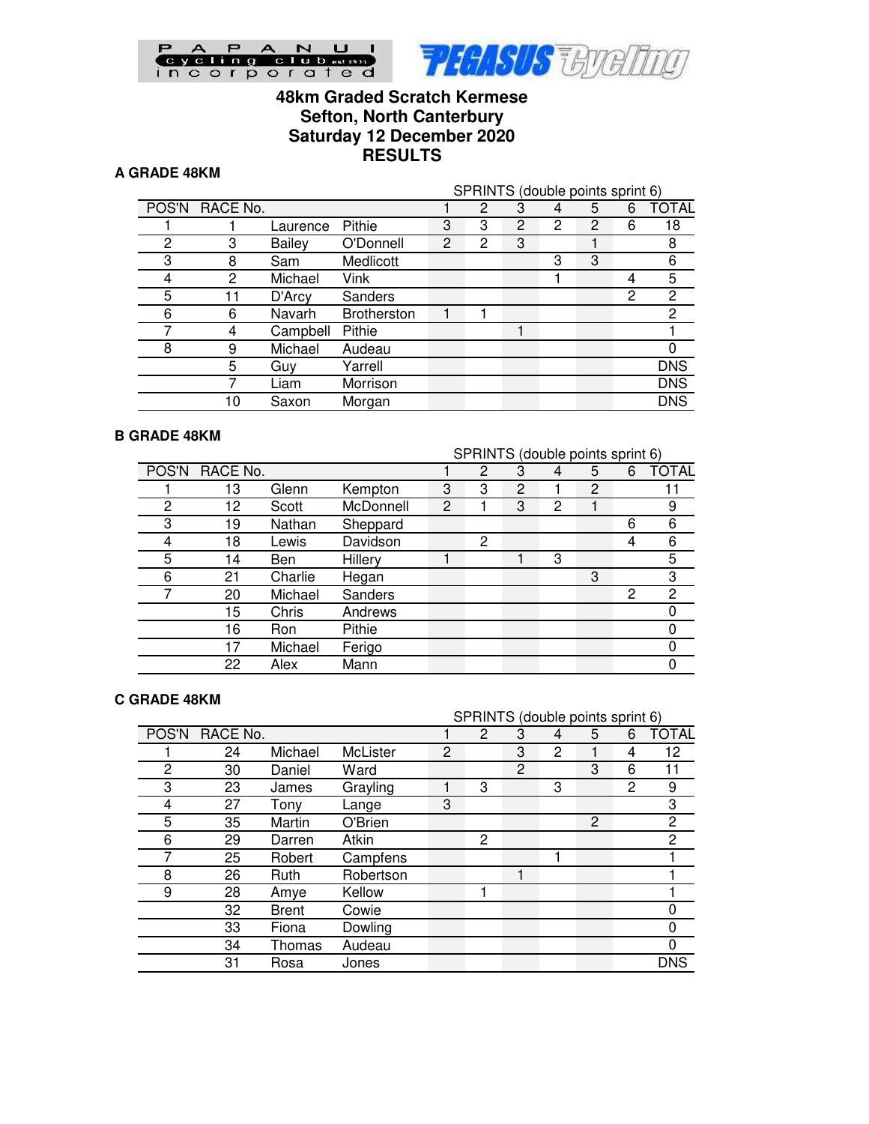

# **48km Graded Scratch Kermese Sefton, North Canterbury Saturday 12 December 2020 RESULTS**

### **A GRADE 48KM**

|    |          |                    |   | SPRINTS (double points sprint 6) |   |   |   |   |                |
|----|----------|--------------------|---|----------------------------------|---|---|---|---|----------------|
|    |          |                    |   | 2                                | 3 | 4 | 5 | 6 | <b>TOTAL</b>   |
|    | Laurence | Pithie             | 3 | 3                                | 2 | 2 | 2 | 6 | 18             |
| 3  | Bailey   | O'Donnell          | 2 | 2                                | 3 |   |   |   | 8              |
| 8  | Sam      | Medlicott          |   |                                  |   | 3 | 3 |   | 6              |
| 2  | Michael  | Vink               |   |                                  |   |   |   | 4 | 5              |
| 11 | D'Arcy   | Sanders            |   |                                  |   |   |   | 2 | 2              |
| 6  | Navarh   | <b>Brotherston</b> |   |                                  |   |   |   |   | $\overline{2}$ |
| 4  | Campbell | Pithie             |   |                                  |   |   |   |   |                |
| 9  | Michael  | Audeau             |   |                                  |   |   |   |   | 0              |
| 5  | Guv      | Yarrell            |   |                                  |   |   |   |   | <b>DNS</b>     |
|    | Liam     | Morrison           |   |                                  |   |   |   |   | <b>DNS</b>     |
| 10 | Saxon    | Morgan             |   |                                  |   |   |   |   | <b>DNS</b>     |
|    |          | RACE No.           |   |                                  |   |   |   |   |                |

#### **B GRADE 48KM**

|       |          |            |           | SPRINTS (double points sprint 6) |   |   |   |   |   |              |
|-------|----------|------------|-----------|----------------------------------|---|---|---|---|---|--------------|
| POS'N | RACE No. |            |           |                                  | 2 | 3 | 4 | 5 | 6 | <b>TOTAL</b> |
|       | 13       | Glenn      | Kempton   | 3                                | 3 | 2 |   | 2 |   |              |
| 2     | 12       | Scott      | McDonnell | $\overline{2}$                   |   | 3 | 2 |   |   | 9            |
| 3     | 19       | Nathan     | Sheppard  |                                  |   |   |   |   | 6 | 6            |
| 4     | 18       | Lewis      | Davidson  |                                  | 2 |   |   |   | 4 | 6            |
| 5     | 14       | <b>Ben</b> | Hillery   |                                  |   |   | 3 |   |   | 5            |
| 6     | 21       | Charlie    | Hegan     |                                  |   |   |   | 3 |   | 3            |
| 7     | 20       | Michael    | Sanders   |                                  |   |   |   |   | 2 | 2            |
|       | 15       | Chris      | Andrews   |                                  |   |   |   |   |   | 0            |
|       | 16       | Ron        | Pithie    |                                  |   |   |   |   |   | 0            |
|       | 17       | Michael    | Ferigo    |                                  |   |   |   |   |   | 0            |
|       | 22       | Alex       | Mann      |                                  |   |   |   |   |   | ი            |

#### **C GRADE 48KM**

|       |          |              |           |                | SPRINTS (double points sprint 6) |   |   |   |   |              |
|-------|----------|--------------|-----------|----------------|----------------------------------|---|---|---|---|--------------|
| POS'N | RACE No. |              |           |                | 2                                | 3 | 4 | 5 | 6 | <b>TOTAL</b> |
|       | 24       | Michael      | McLister  | $\overline{c}$ |                                  | 3 | 2 |   | 4 | 12           |
| 2     | 30       | Daniel       | Ward      |                |                                  | 2 |   | 3 | 6 | 11           |
| 3     | 23       | James        | Grayling  |                | 3                                |   | 3 |   | 2 | 9            |
| 4     | 27       | Tonv         | Lange     | 3              |                                  |   |   |   |   | 3            |
| 5     | 35       | Martin       | O'Brien   |                |                                  |   |   | 2 |   | 2            |
| 6     | 29       | Darren       | Atkin     |                | 2                                |   |   |   |   | 2            |
| 7     | 25       | Robert       | Campfens  |                |                                  |   |   |   |   |              |
| 8     | 26       | Ruth         | Robertson |                |                                  |   |   |   |   |              |
| 9     | 28       | Amye         | Kellow    |                |                                  |   |   |   |   |              |
|       | 32       | <b>Brent</b> | Cowie     |                |                                  |   |   |   |   |              |
|       | 33       | Fiona        | Dowling   |                |                                  |   |   |   |   |              |
|       | 34       | Thomas       | Audeau    |                |                                  |   |   |   |   |              |
|       | 31       | Rosa         | Jones     |                |                                  |   |   |   |   | <b>DNS</b>   |